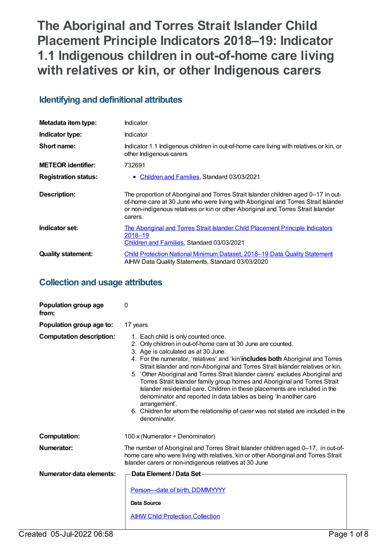# **The Aboriginal and Torres Strait Islander Child Placement Principle Indicators 2018–19: Indicator 1.1 Indigenous children in out-of-home care living with relatives or kin, or other Indigenous carers**

# **Identifying and definitional attributes**

| Metadata item type:         | Indicator                                                                                                                                                                                                                                                                |  |
|-----------------------------|--------------------------------------------------------------------------------------------------------------------------------------------------------------------------------------------------------------------------------------------------------------------------|--|
| Indicator type:             | Indicator                                                                                                                                                                                                                                                                |  |
| Short name:                 | Indicator 1.1 Indigenous children in out-of-home care living with relatives or kin, or<br>other Indigenous carers                                                                                                                                                        |  |
| <b>METEOR</b> identifier:   | 732691                                                                                                                                                                                                                                                                   |  |
| <b>Registration status:</b> | Children and Families, Standard 03/03/2021<br>$\bullet$                                                                                                                                                                                                                  |  |
| Description:                | The proportion of Aboriginal and Torres Strait Islander children aged 0-17 in out-<br>of-home care at 30 June who were living with Aboriginal and Torres Strait Islander<br>or non-indigenous relatives or kin or other Aboriginal and Torres Strait Islander<br>carers. |  |
| Indicator set:              | The Aboriginal and Torres Strait Islander Child Placement Principle Indicators<br>2018-19<br>Children and Families, Standard 03/03/2021                                                                                                                                  |  |
| <b>Quality statement:</b>   | Child Protection National Minimum Dataset, 2018–19 Data Quality Statement<br>AIHW Data Quality Statements, Standard 03/03/2020                                                                                                                                           |  |

# **Collection and usage attributes**

| 0                                                                                                                                                                                                                                                                                                                                                                                                                                                                                                                                                                                                                                                                                                                                                           |
|-------------------------------------------------------------------------------------------------------------------------------------------------------------------------------------------------------------------------------------------------------------------------------------------------------------------------------------------------------------------------------------------------------------------------------------------------------------------------------------------------------------------------------------------------------------------------------------------------------------------------------------------------------------------------------------------------------------------------------------------------------------|
| 17 years                                                                                                                                                                                                                                                                                                                                                                                                                                                                                                                                                                                                                                                                                                                                                    |
| 1. Each child is only counted once.<br>2. Only children in out-of-home care at 30 June are counted.<br>3. Age is calculated as at 30 June.<br>4. For the numerator, 'relatives' and 'kin' includes both Aboriginal and Torres<br>Strait Islander and non-Aboriginal and Torres Strait Islander relatives or kin.<br>5. 'Other Aboriginal and Torres Strait Islander carers' excludes Aboriginal and<br>Torres Strait Islander family group homes and Aboriginal and Torres Strait<br>Islander residential care. Children in these placements are included in the<br>denominator and reported in data tables as being 'In another care<br>arrangement'.<br>6. Children for whom the relationship of carer was not stated are included in the<br>denominator. |
| 100 x (Numerator $\div$ Denominator)                                                                                                                                                                                                                                                                                                                                                                                                                                                                                                                                                                                                                                                                                                                        |
| The number of Aboriginal and Torres Strait Islander children aged 0-17, in out-of-<br>home care who were living with relatives, kin or other Aboriginal and Torres Strait<br>Islander carers or non-indigenous relatives at 30 June                                                                                                                                                                                                                                                                                                                                                                                                                                                                                                                         |
| Data Element / Data Set-<br>Person-date of birth, DDMMYYYY<br>Data Source<br><b>AIHW Child Protection Collection</b>                                                                                                                                                                                                                                                                                                                                                                                                                                                                                                                                                                                                                                        |
|                                                                                                                                                                                                                                                                                                                                                                                                                                                                                                                                                                                                                                                                                                                                                             |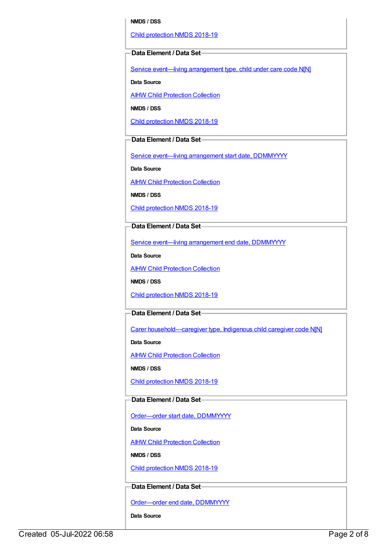#### **NMDS / DSS**

Child [protection](https://meteor.aihw.gov.au/content/726951) NMDS 2018-19

#### **Data Element / Data Set**

Service event—living [arrangement](https://meteor.aihw.gov.au/content/689331) type, child under care code N[N]

**Data Source**

**AIHW Child [Protection](https://meteor.aihw.gov.au/content/489543) Collection** 

**NMDS / DSS**

Child [protection](https://meteor.aihw.gov.au/content/726951) NMDS 2018-19

## **Data Element / Data Set**

Service event-living [arrangement](https://meteor.aihw.gov.au/content/474217) start date, DDMMYYYY

**Data Source**

AIHW Child [Protection](https://meteor.aihw.gov.au/content/489543) Collection

**NMDS / DSS**

Child [protection](https://meteor.aihw.gov.au/content/726951) NMDS 2018-19

### **Data Element / Data Set**

Service event—living [arrangement](https://meteor.aihw.gov.au/content/474223) end date, DDMMYYYY

**Data Source**

**AIHW Child [Protection](https://meteor.aihw.gov.au/content/489543) Collection** 

**NMDS / DSS**

Child [protection](https://meteor.aihw.gov.au/content/726951) NMDS 2018-19

#### **Data Element / Data Set**

Carer [household—caregiver](https://meteor.aihw.gov.au/content/524944) type, Indigenous child caregiver code N[N]

**Data Source**

**AIHW Child [Protection](https://meteor.aihw.gov.au/content/489543) Collection** 

**NMDS / DSS**

Child [protection](https://meteor.aihw.gov.au/content/726951) NMDS 2018-19

#### **Data Element / Data Set**

Order-order start date, DDMMYYYY

**Data Source**

AIHW Child [Protection](https://meteor.aihw.gov.au/content/489543) Collection

**NMDS / DSS**

Child [protection](https://meteor.aihw.gov.au/content/726951) NMDS 2018-19

#### **Data Element / Data Set**

[Order—order](https://meteor.aihw.gov.au/content/536554) end date, DDMMYYYY

**Data Source**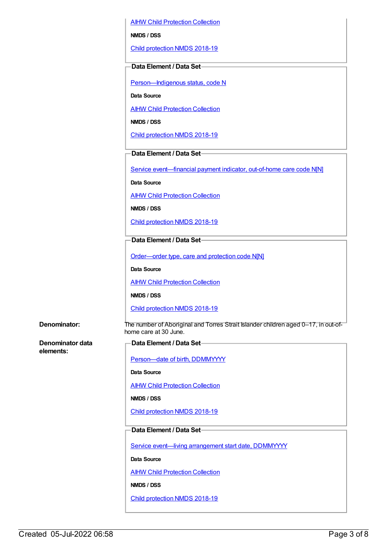AIHW Child [Protection](https://meteor.aihw.gov.au/content/489543) Collection

**NMDS / DSS**

Child [protection](https://meteor.aihw.gov.au/content/726951) NMDS 2018-19

#### **Data Element / Data Set**

[Person—Indigenous](https://meteor.aihw.gov.au/content/602543) status, code N

**Data Source**

**AIHW Child [Protection](https://meteor.aihw.gov.au/content/489543) Collection** 

**NMDS / DSS**

Child [protection](https://meteor.aihw.gov.au/content/726951) NMDS 2018-19

#### **Data Element / Data Set**

Service [event—financial](https://meteor.aihw.gov.au/content/652697) payment indicator, out-of-home care code N[N]

**Data Source**

AIHW Child [Protection](https://meteor.aihw.gov.au/content/489543) Collection

**NMDS / DSS**

Child [protection](https://meteor.aihw.gov.au/content/726951) NMDS 2018-19

## **Data Element / Data Set**

[Order—order](https://meteor.aihw.gov.au/content/657300) type, care and protection code N[N]

**Data Source**

**AIHW Child [Protection](https://meteor.aihw.gov.au/content/489543) Collection** 

**NMDS / DSS**

Child [protection](https://meteor.aihw.gov.au/content/726951) NMDS 2018-19

**Denominator:** The number of Aboriginal and Torres Strait Islander children aged 0–17, in out-ofhome care at 30 June.

**Denominator data elements:**

| -Data Element / Data Set—               |  |
|-----------------------------------------|--|
|                                         |  |
| Person-date of birth, DDMMYYYY          |  |
| Data Source                             |  |
| <b>AIHW Child Protection Collection</b> |  |
| NMDS / DSS                              |  |
| Child protection NMDS 2018-19           |  |
|                                         |  |

# **Data Element / Data Set**

Service event-living [arrangement](https://meteor.aihw.gov.au/content/474217) start date, DDMMYYYY

**Data Source**

**AIHW Child [Protection](https://meteor.aihw.gov.au/content/489543) Collection** 

**NMDS / DSS**

Child [protection](https://meteor.aihw.gov.au/content/726951) NMDS 2018-19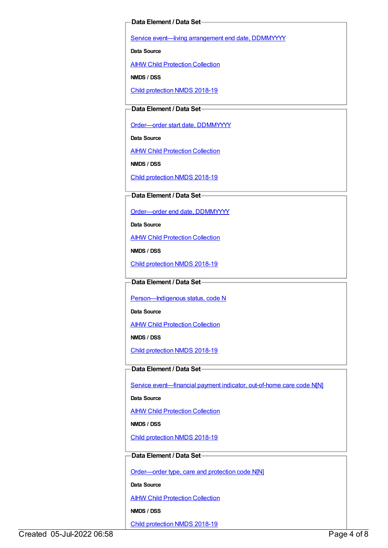#### **Data Element / Data Set**

Service event-living [arrangement](https://meteor.aihw.gov.au/content/474223) end date, DDMMYYYY

**Data Source**

AIHW Child [Protection](https://meteor.aihw.gov.au/content/489543) Collection

**NMDS / DSS**

Child [protection](https://meteor.aihw.gov.au/content/726951) NMDS 2018-19

#### **Data Element / Data Set**

[Order—order](https://meteor.aihw.gov.au/content/536550) start date, DDMMYYYY

**Data Source**

**AIHW Child [Protection](https://meteor.aihw.gov.au/content/489543) Collection** 

**NMDS / DSS**

Child [protection](https://meteor.aihw.gov.au/content/726951) NMDS 2018-19

### **Data Element / Data Set**

[Order—order](https://meteor.aihw.gov.au/content/536554) end date, DDMMYYYY

**Data Source**

**AIHW Child [Protection](https://meteor.aihw.gov.au/content/489543) Collection** 

**NMDS / DSS**

Child [protection](https://meteor.aihw.gov.au/content/726951) NMDS 2018-19

**Data Element / Data Set**

Person-Indigenous status, code N

**Data Source**

AIHW Child [Protection](https://meteor.aihw.gov.au/content/489543) Collection

**NMDS / DSS**

Child [protection](https://meteor.aihw.gov.au/content/726951) NMDS 2018-19

## **Data Element / Data Set**

Service event-financial payment indicator, out-of-home care code N[N]

**Data Source**

**AIHW Child [Protection](https://meteor.aihw.gov.au/content/489543) Collection** 

**NMDS / DSS**

Child [protection](https://meteor.aihw.gov.au/content/726951) NMDS 2018-19

#### **Data Element / Data Set**

[Order—order](https://meteor.aihw.gov.au/content/657300) type, care and protection code N[N]

**Data Source**

**AIHW Child [Protection](https://meteor.aihw.gov.au/content/489543) Collection** 

**NMDS / DSS**

Child [protection](https://meteor.aihw.gov.au/content/726951) NMDS 2018-19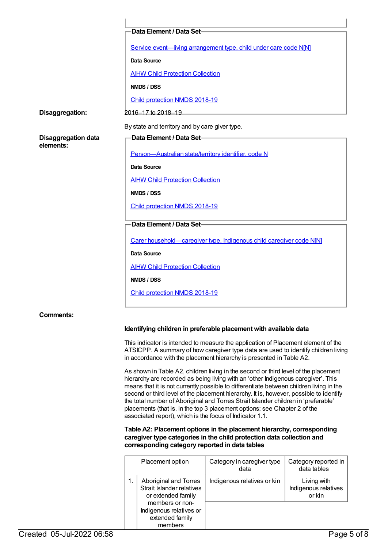|                                         | Data Element / Data Set-                                             |  |
|-----------------------------------------|----------------------------------------------------------------------|--|
|                                         | Service event-living arrangement type, child under care code N[N]    |  |
|                                         | Data Source                                                          |  |
|                                         | <b>AIHW Child Protection Collection</b>                              |  |
|                                         | NMDS / DSS                                                           |  |
|                                         | Child protection NMDS 2018-19                                        |  |
| Disaggregation:                         | 2016-17 to 2018-19                                                   |  |
|                                         | By state and territory and by care giver type.                       |  |
| <b>Disaggregation data</b><br>elements: | <b>Data Element / Data Set-</b>                                      |  |
|                                         | Person-Australian state/territory identifier, code N                 |  |
|                                         | Data Source                                                          |  |
|                                         | <b>AIHW Child Protection Collection</b>                              |  |
|                                         | NMDS / DSS                                                           |  |
|                                         | Child protection NMDS 2018-19                                        |  |
|                                         | Data Element / Data Set-                                             |  |
|                                         | Carer household-caregiver type, Indigenous child caregiver code N[N] |  |
|                                         | Data Source                                                          |  |
|                                         | <b>AIHW Child Protection Collection</b>                              |  |
|                                         | NMDS / DSS                                                           |  |
|                                         | Child protection NMDS 2018-19                                        |  |
| <b>Comments:</b>                        |                                                                      |  |

## **Identifying children in preferable placement with available data**

This indicator is intended to measure the application of Placement element of the ATSICPP. A summary of how caregiver type data are used to identify children living in accordance with the placement hierarchy is presented in Table A2.

As shown in Table A2, children living in the second or third level of the placement hierarchy are recorded as being living with an 'other Indigenous caregiver'. This means that it is not currently possible to differentiate between children living in the second or third level of the placement hierarchy. It is, however, possible to identify the total number of Aboriginal and Torres Strait Islander children in 'preferable' placements (that is, in the top 3 placement options; see Chapter 2 of the associated report), which is the focus of Indicator 1.1.

#### **Table A2: Placement options in the placement hierarchy, corresponding caregiver type categories in the child protection data collection and corresponding category reported in data tables**

| Placement option                                                                            | Category in caregiver type<br>data | Category reported in<br>data tables           |
|---------------------------------------------------------------------------------------------|------------------------------------|-----------------------------------------------|
| Aboriginal and Torres<br>Strait Islander relatives<br>or extended family<br>members or non- | Indigenous relatives or kin        | Living with<br>Indigenous relatives<br>or kin |
| Indigenous relatives or<br>extended family<br>members                                       |                                    |                                               |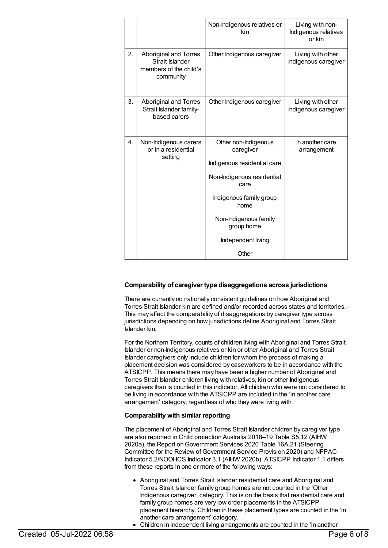|                  |                                                                                        | Non-Indigenous relatives or<br>kin                                                                                                                                                                              | Living with non-<br>Indigenous relatives<br>or kin |
|------------------|----------------------------------------------------------------------------------------|-----------------------------------------------------------------------------------------------------------------------------------------------------------------------------------------------------------------|----------------------------------------------------|
| 2.               | <b>Aboriginal and Torres</b><br>Strait Islander<br>members of the child's<br>community | Other Indigenous caregiver                                                                                                                                                                                      | Living with other<br>Indigenous caregiver          |
| 3.               | <b>Aboriginal and Torres</b><br>Strait Islander family-<br>based carers                | Other Indigenous caregiver                                                                                                                                                                                      | Living with other<br>Indigenous caregiver          |
| $\overline{4}$ . | Non-Indigenous carers<br>or in a residential<br>setting                                | Other non-Indigenous<br>caregiver<br>Indigenous residential care<br>Non-Indigenous residential<br>care<br>Indigenous family group<br>home<br>Non-Indigenous family<br>group home<br>Independent living<br>Other | In another care<br>arrangement                     |

#### **Comparability of caregiver type disaggregations across jurisdictions**

There are currently no nationally consistent guidelines on how Aboriginal and Torres Strait Islander kin are defined and/or recorded across states and territories. This may affect the comparability of disaggregations by caregiver type across jurisdictions depending on how jurisdictions define Aboriginal and Torres Strait Islander kin.

For the Northern Territory, counts of children living with Aboriginal and Torres Strait Islander or non-Indigenous relatives or kin or other Aboriginal and Torres Strait Islander caregivers only include children for whom the process of making a placement decision was considered by caseworkers to be in accordance with the ATSICPP. This means there may have been a higher number of Aboriginal and Torres Strait Islander children living with relatives, kin or other Indigenous caregivers than is counted in this indicator. All children who were not considered to be living in accordance with the ATSICPP are included in the 'in another care arrangement' category, regardless of who they were living with.

#### **Comparability with similar reporting**

The placement of Aboriginal and Torres Strait Islander children by caregiver type are also reported in Child protection Australia 2018–19 Table S5.12 (AIHW 2020a), the Report on Government Services 2020 Table 16A.21 (Steering Committee for the Review of Government Service Provision 2020) and NFPAC Indicator 5.2/NOOHCS Indicator 3.1 (AIHW 2020b). ATSICPP Indicator 1.1 differs from these reports in one or more of the following ways:

- Aboriginal and Torres Strait Islander residential care and Aboriginal and Torres Strait Islander family group homes are not counted in the 'Other Indigenous caregiver' category. This is on the basis that residential care and family group homes are very low order placements in the ATSICPP placement hierarchy. Children in these placement types are counted in the 'in another care arrangement' category.
- Children in independent living arrangements are counted in the 'in another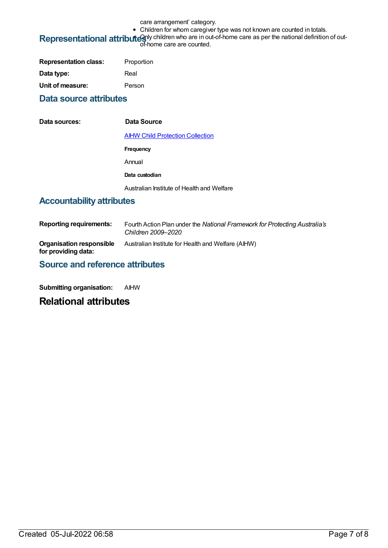care arrangement' category.

• Children for whom caregiver type was not known are counted in totals.

# Representational attributes of hildren who are in out-of-home care as per the national definition of out-<br>of-home care are counted.

| <b>Representation class:</b> | Proportion |
|------------------------------|------------|
| Data type:                   | Real       |
| Unit of measure:             | Person     |

# **Data source attributes**

| Data sources: | Data Source                                |
|---------------|--------------------------------------------|
|               | <b>AIHW Child Protection Collection</b>    |
|               | Frequency                                  |
|               | Annual                                     |
|               | Data custodian                             |
|               | Australian Institute of Health and Welfare |

# **Accountability attributes**

| <b>Reporting requirements:</b>                  | Fourth Action Plan under the National Framework for Protecting Australia's<br>Children 2009–2020 |
|-------------------------------------------------|--------------------------------------------------------------------------------------------------|
| Organisation responsible<br>for providing data: | Australian Institute for Health and Welfare (AIHW)                                               |

# **Source and reference attributes**

**Submitting organisation:** AIHW

# **Relational attributes**